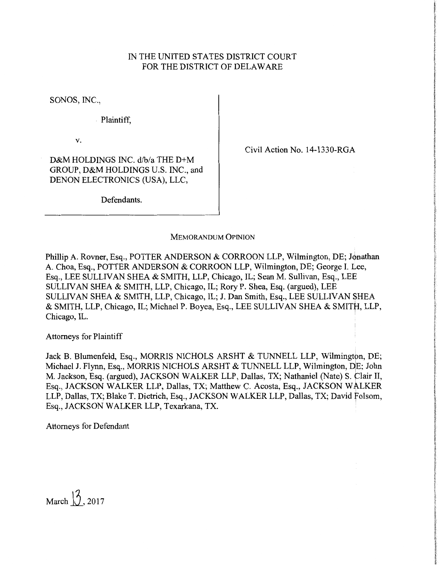## IN THE UNITED STATES DISTRICT COURT FOR THE DISTRICT OF DELAWARE

SONOS, INC.,

Plaintiff,

v.

Civil Action No. 14-1330-RGA

D&M HOLDINGS INC. d/b/a THE D+M GROUP, D&M HOLDINGS U.S. INC., and DENON ELECTRONICS (USA), LLC,

Defendants.

## MEMORANDUM OPINION

Phillip A. Rovner, Esq., POTTER ANDERSON & CORROON LLP, Wilmington, DE; Jonathan A. Choa, Esq., POTTER ANDERSON & CORROON LLP, Wilmington, DE; George I. Lee, Esq., LEE SULLIVAN SHEA & SMITH, LLP, Chicago, IL; Sean M. Sullivan, Esq., LEE SULLIVAN SHEA & SMITH, LLP, Chicago, IL; Rory P. Shea, Esq. (argued), LEE SULLIVAN SHEA & SMITH, LLP, Chicago, IL; J. Dan Smith, Esq., LEE SULLIVAN \$HEA & SMITH, LLP, Chicago, IL; Michael P. Boyea, Esq., LEE SULLIVAN SHEA & SMITH, LLP, Chicago, IL.

Attorneys for Plaintiff

Jack B. Blumenfeld, Esq., MORRIS NICHOLS ARSHT & TUNNELL LLP, Wilmington, DE; Michael J. Flynn, Esq., MORRIS NICHOLS ARSHT & TUNNELL LLP, Wilmington, DE; John M. Jackson, Esq. (argued), JACKSON WALKER LLP, Dallas, TX; Nathaniel (Nate) S. Clair II, Esq., JACKSON WALKER LLP, Dallas, TX; Matthew C. Acosta, Esq., JACKSON WALKER LLP, Dallas, TX; Blake T. Dietrich, Esq., JACKSON WALKER LLP, Dallas, TX; David folsom, Esq., JACKSON WALKER LLP, Texarkana, TX.

Attorneys for Defendant

March  $\sqrt{3}$ , 2017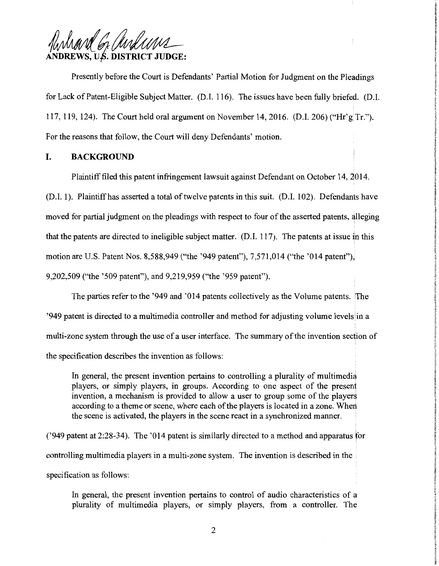Ruhard G. anduns **REWS, U.S. DISTRICT JUDGE:** 

Presently before the Court is Defendants' Partial Motion for Judgment on the Pleadings for Lack of Patent-Eligible Subject Matter. (D.1. 116). The issues have been fully briefed. (D.I. 117, 119, 124). The Court held oral argument on November 14, 2016. (D.I. 206) ("Hr'g|Tr."). For the reasons that follow, the Court will deny Defendants' motion.

### **I. BACKGROUND**

Plaintiff filed this patent infringement lawsuit against Defendant on October 14, 2014.

(D.I. 1). Plaintiffhas asserted a total of twelve patents in this suit. (D.I. 102). Defendants have moved for partial judgment on the pleadings with respect to four of the asserted patents, alleging that the patents are directed to ineligible subject matter.  $(D.I. 117)$ . The patents at issue in this motion are U.S. Patent Nos. 8,588,949 ("the '949 patent"), 7,571,014 ("the '014 patent"), 9,202,509 ("the '509 patent"), and 9,219,959 ("the '959 patent").

The parties refer to the '949 and '014 patents collectively as the Volume patents. The '949 patent is directed to a multimedia controller and method for adjusting volume levels in a multi-zone system through the use of a user interface. The summary of the invention section of the specification describes the invention as follows:

In general, the present invention pertains to controlling a plurality of multimedia players, or simply players, in groups. According to one aspect of the present invention, a mechanism is provided to allow a user to group some of the players according to a theme or scene, where each of the players is located in a zone. Wherl the scene is activated, the players in the scene react in a synchronized manner.

('949 patent at 2:28-34). The '014 patent is similarly directed to a method and apparatus for controlling multimedia players in a multi-zone system. The invention is described in the specification as follows:

In general, the present invention pertains to control of audio characteristics of a plurality of multimedia players, or simply players, from a controller. The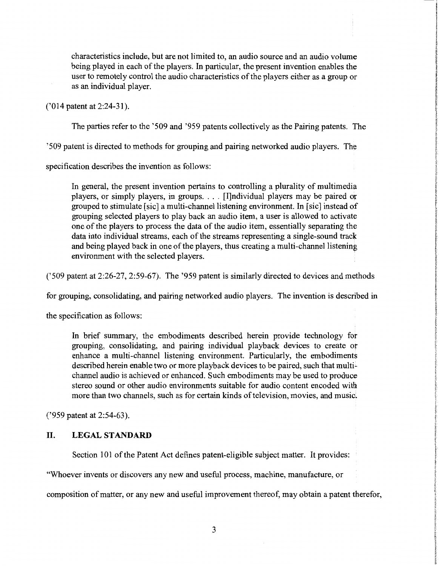characteristics include, but are not limited to, an audio source and an audio volume being played in each of the players. In particular, the present invention enables the user to remotely control the audio characteristics of the players either as a group or as an individual player.

('014 patent at 2:24-31).

The parties refer to the '509 and '959 patents collectively as the Pairing patents. The

'509 patent is directed to methods for grouping and pairing networked audio players. The

specification describes the invention as follows:

In general, the present invention pertains to controlling a plurality of multimedia players, or simply players, in groups. . . . [I]ndividual players may be paired or grouped to stimulate [sic] a multi-channel listening environment. In [sic] instead of grouping selected players to play back an audio item, a user is allowed to activate one of the players to process the data of the audio item, essentially separating the data into individual streams, each of the streams representing a single-sound track and being played back in one of the players, thus creating a multi-channel listening environment with the selected players.

('509 patent at 2:26-27, 2:59-67). The '959 patent is similarly directed to devices and methods

for grouping, consolidating, and pairing networked audio players. The invention is described in

the specification as follows:

In brief summary, the embodiments described herein provide technology for grouping, consolidating, and pairing individual playback devices to create or enhance a multi-channel listening environment. Particularly, the embodiments described herein enable two or more playback devices to be paired, such that multichannel audio is achieved or enhanced. Such embodiments may be used to produce stereo sound or other audio environments suitable for audio content encoded with more than two channels, such as for certain kinds of television, movies, and music.

('959 patent at 2:54-63).

#### **II. LEGALSTANDARD**

Section 101 of the Patent Act defines patent-eligible subject matter. It provides:

"Whoever invents or discovers any new and useful process, machine, manufacture, or

composition of matter, or any new and useful improvement thereof, may obtain a patent therefor,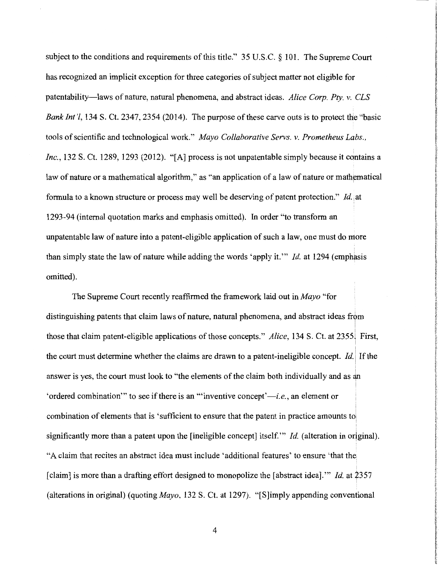subject to the conditions and requirements of this title." 35 U.S.C. § 101. The Supreme Court has recognized an implicit exception for three categories of subject matter not eligible for patentability-laws of nature, natural phenomena, and abstract ideas. *Alice Corp. Pty. v. CLS Bank Int'l,* 134 S. Ct. 2347, 2354 (2014). The purpose of these carve outs is to protect the "basic tools of scientific and technological work." *Mayo Collaborative Servs. v. Prometheus Labs., Inc.*, 132 S. Ct. 1289, 1293 (2012). "[A] process is not unpatentable simply because it contains a law of nature or a mathematical algorithm," as "an application of a law of nature or mathematical formula to a known structure or process may well be deserving of patent protection." *Id.* at 1293-94 (internal quotation marks and emphasis omitted). In order "to transform an unpatentable law of nature into a patent-eligible application of such a law, one must do more than simply state the law of nature while adding the words 'apply it.'" *Id.* at 1294 (emphasis omitted).

The Supreme Court recently reaffirmed the framework laid out in *Mayo* "for distinguishing patents that claim laws of nature, natural phenomena, and abstract ideas from I those that claim patent-eligible applications of those concepts." Alice, 134 S. Ct. at 2355. First, I the court must determine whether the claims are drawn to a patent-ineligible concept. *Id.* i If the answer is yes, the court must look to "the elements of the claim both individually and as an 'ordered combination'" to see if there is an "'inventive concept' $-i.e.,$  an element or combination of elements that is 'sufficient to ensure that the patent in practice amounts to significantly more than a patent upon the [ineligible concept] itself." *Id.* (alteration in original). "A claim that recites an abstract idea must include 'additional features' to ensure 'that the [claim] is more than a drafting effort designed to monopolize the [abstract idea]."" *Id.* at 2357 (alterations in original) (quoting *Mayo,* 132 S. Ct. at 1297). "[S]imply appending conventional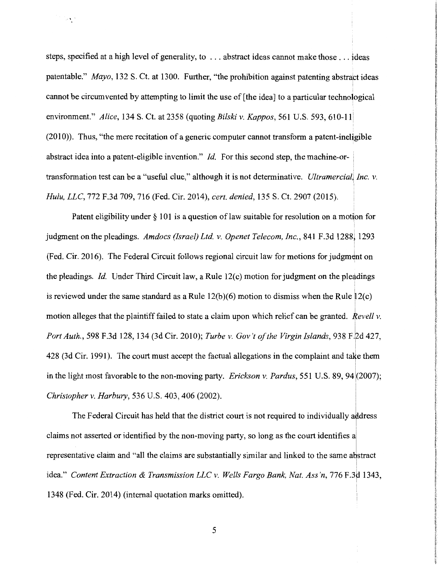steps, specified at a high level of generality, to ... abstract ideas cannot make those ... ideas patentable." *Mayo*, 132 S. Ct. at 1300. Further, "the prohibition against patenting abstract ideas cannot be circumvented by attempting to limit the use of [the idea] to a particular technological environment." *Alice*, 134 S. Ct. at 2358 *(quoting Bilski v. Kappos, 561 U.S. 593, 610-11*)  $(2010)$ ). Thus, "the mere recitation of a generic computer cannot transform a patent-ineligible abstract idea into a patent-eligible invention." *Id.* For this second step, the machine-ortransformation test can be a "useful clue," although it is not determinative. *Ultramercial, Inc. v. Hulu, LLC,* 772 F.3d 709, 716 (Fed. Cir. 2014), *cert. denied,* 135 S. Ct. 2907 (2015).

 $\cdot$  .

Patent eligibility under  $\S$  101 is a question of law suitable for resolution on a motion for judgment on the pleadings. Amdocs (Israel) Ltd. v. Openet Telecom, Inc., 841 F.3d 1288, 1293 (Fed. Cir. 2016). The Federal Circuit follows regional circuit law for motions for judgment on the pleadings. *Id.* Under Third Circuit law, a Rule 12(c) motion for judgment on the pleadings is reviewed under the same standard as a Rule  $12(b)(6)$  motion to dismiss when the Rule  $12(c)$ motion alleges that the plaintiff failed to state a claim upon which relief can be granted. *Revell v.* i *Port Auth., 598 F.3d 128, 134 (3d Cir. 2010); Turbe v. Gov't of the Virgin Islands, 938 F.2d 427,* 428 (3d Cir. 1991). The court must accept the factual allegations in the complaint and take them in the light most favorable to the non-moving party. *Erickson v. Pardus*, 551 U.S. 89, 94 (2007); *Christopher v. Harbury,* 536 U.S. 403, 406 (2002).

The Federal Circuit has held that the district court is not required to individually address i claims not asserted or identified by the non-moving party, so long as the court identifies al representative claim and "all the claims are substantially similar and linked to the same abstract idea." *Content Extraction & Transmission LLC v. Wells Fargo Bank, Nat. Ass'n,* 776 F.3d 1343, 1348 (Fed. Cir. 2014) (internal quotation marks omitted).

I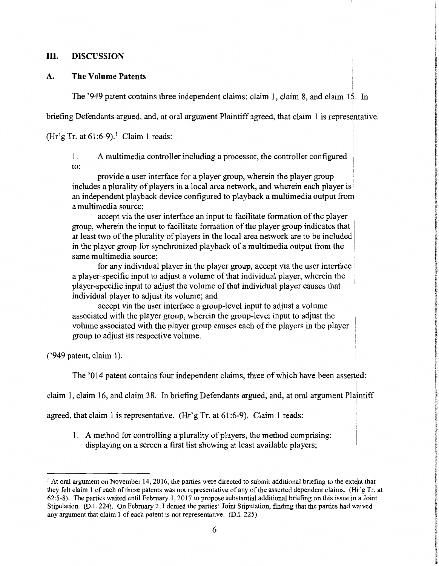## **III. DISCUSSION**

## **A. The Volume Patents**

The '949 patent contains three independent claims: claim 1, claim 8, and claim 15. In

briefing Defendants argued, and, at oral argument Plaintiff agreed, that claim 1 is representative.

(Hr'g Tr. at  $61:6-9$ ).<sup>1</sup> Claim 1 reads:

1. A multimedia controller including a processor, the controller configured to:

provide a user interface for a player group, wherein the player group includes a plurality of players in a local area network, and wherein each player is an independent playback device configured to playback a multimedia output from a multimedia source;

accept via the user interface an input to facilitate formation of the player group, wherein the input to facilitate formation of the player group indicates that at least two of the plurality of players in the local area network are to be included in the player group for synchronized playback of a multimedia output from the same multimedia source;

for any individual player in the player group, accept via the user interface a player-specific input to adjust a volume of that individual player, wherein the player-specific input to adjust the volume of that individual player causes that individual player to adjust its volume; and

accept via the user interface a group-level input to adjust a volume associated with the player group, wherein the group-level input to adjust the volume associated with the player group causes each of the players in the player group to adjust its respective volume.

('949 patent, claim 1 ).

The '014 patent contains four independent claims, three of which have been asserted:

claim 1, claim 16, and claim 38. In briefing Defendants argued, and, at oral argument Plaintiff

agreed, that claim 1 is representative. (Hr'g Tr. at  $61:6-9$ ). Claim 1 reads:

1. A method for controlling a plurality of players, the method comprising: displaying on a screen a first list showing at least available players;

 $1$  At oral argument on November 14, 2016, the parties were directed to submit additional briefing to the extent that they felt claim I of each of these patents was not representative of any of the asserted dependent claims. (Hr'g Tr. at 62 :5-8). The parties waited until February 1, 2017 to propose substantial additional briefing on this issue in a Joint Stipulation. (D.I. 224). On February 2, I denied the parties' Joint Stipulation, finding that the parties had waived any argument that claim 1 of each patent is not representative. (D.I. 225).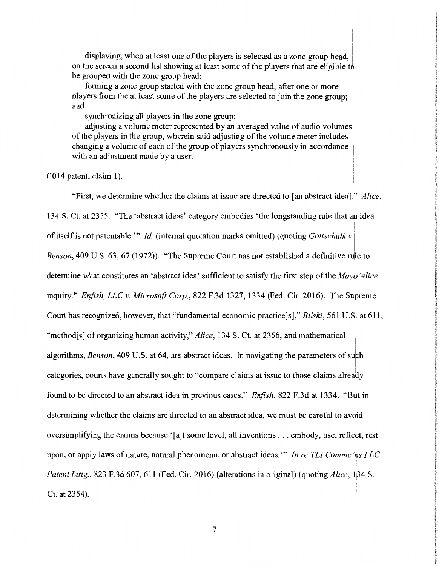displaying, when at least one of the players is selected as a zone group head, on the screen a second list showing at least some of the players that are eligible to be grouped with the zone group head;

forming a zone group started with the zone group head, after one or more players from the at least some of the players are selected to join the zone group; and

synchronizing all players in the zone group;

adjusting a volume meter represented by an averaged value of audio volumes of the players in the group, wherein said adjusting of the volume meter includes changing a volume of each of the group of players synchronously in accordance with an adjustment made by a user.

 $('014 patent, claim 1).$ 

"First, we determine whether the claims at issue are directed to [an abstract idea]." *Alice*, I 134 S. Ct. at 2355. "The 'abstract ideas' category embodies 'the longstanding rule that an idea of itself is not patentable."' *Id.* (internal quotation marks omitted) (quoting *Gottschalk* v.j *Benson,* 409 U.S. 63, 67 (1972)). "The Supreme Court has not established a definitive rule to determine what constitutes an 'abstract idea' sufficient to satisfy the first step of the *Mayo/Alice*  inquiry." *Enfish, LLC v. Microsoft Corp.,* 822 F.3d 1327, 1334 (Fed. Cir. 2016). The Supreme ! Court has recognized, however, that "fundamental economic practice[s]," *Bilski*, 561 U.S. at 611, I "method[s] of organizing human activity," *Alice*, 134 S. Ct. at 2356, and mathematical algorithms, *Benson,* 409 U.S. at 64, are abstract ideas. In navigating the parameters of sufh categories, courts have generally sought to "compare claims at issue to those claims already I found to be directed to an abstract idea in previous cases." *Enfish*, 822 F.3d at 1334. "But in I determining whether the claims are directed to an abstract idea, we must be careful to avoid oversimplifying the claims because '[a]t some level, all inventions  $\dots$  embody, use, reflect, rest ! upon, or apply laws of nature, natural phenomena, or abstract ideas."' *In re TL! Commc 'ns LLC Patent Litig., 823 F.3d 607, 611 (Fed. Cir. 2016) (alterations in original) (quoting <i>Alice, 134 S.* Ct. at 2354).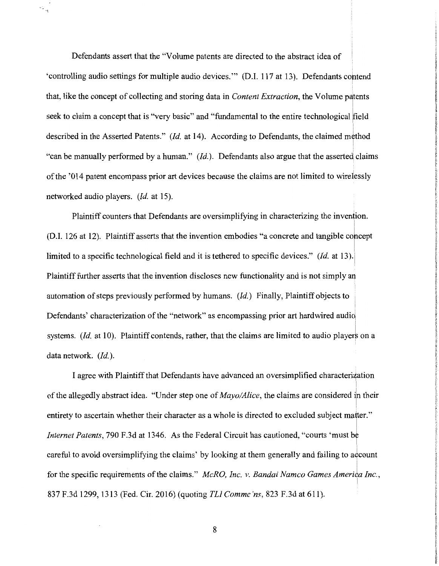Defendants assert that the "Volume patents are directed to the abstract idea of 'controlling audio settings for multiple audio devices."" (D.I. 117 at 13). Defendants contend that, like the concept of collecting and storing data in *Content Extraction*, the Volume patents seek to claim a concept that is "very basic" and "fundamental to the entire technological field described in the Asserted Patents." (Id. at 14). According to Defendants, the claimed method "can be manually performed by a human." *(Id.).* Defendants also argue that the asserted claims of the '014 patent encompass prior art devices because the claims are not limited to wirdessly networked audio players. *(Id.* at 15).

Plaintiff counters that Defendants are oversimplifying in characterizing the invention. I (D.I. 126 at 12). Plaintiff asserts that the invention embodies "a concrete and tangible corcept limited to a specific technological field and it is tethered to specific devices." *(Id.* at 13). Plaintiff further asserts that the invention discloses new functionality and is not simply an automation of steps previously performed by humans. *(Id.)* Finally, Plaintiff objects to Defendants' characterization of the "network" as encompassing prior art hardwired audio systems. *(Id.* at 10). Plaintiff contends, rather, that the claims are limited to audio players on a data network. *(Id.).* 

I agree with Plaintiff that Defendants have advanced an oversimplified characterization of the allegedly abstract idea. "Under step one of *Mayo/Alice*, the claims are considered in their entirety to ascertain whether their character as a whole is directed to excluded subject mater." *Internet Patents*, 790 F.3d at 1346. As the Federal Circuit has cautioned, "courts 'must be ! careful to avoid oversimplifying the claims' by looking at them generally and failing to aqcount i for the specific requirements of the claims." *McRO, Inc. v. Bandai Namco Games America Inc.*, 837 F.3d 1299, 1313 (Fed. Cir. 2016) (quoting *TL! Commc 'ns,* 823 F.3d at 611).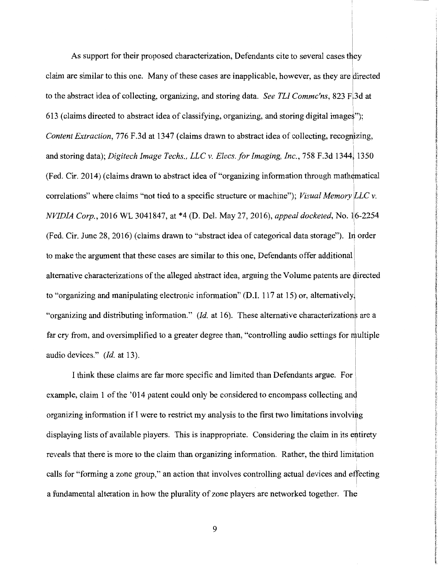As support for their proposed characterization, Defendants cite to several cases they claim are similar to this one. Many of these cases are inapplicable, however, as they are directed to the abstract idea of collecting, organizing, and storing data. *See TLI Commc'ns*, 823 F<sub>1</sub>3d at 613 (claims directed to abstract idea of classifying, organizing, and storing digital images"); *Content Extraction,* 776 F.3d at 1347 (claims drawn to abstract idea of collecting, recognizing, and storing data); *Digitech Image Techs., LLC v. Elecs.for Imaging, Inc.,* 758 F.3d 1344) 1350 I  $(Fed. Cir. 2014)$  (claims drawn to abstract idea of "organizing information through mathematical correlations" where claims "not tied to a specific structure or machine"); *Visual Memory LLC v. NVIDIA Corp.*, 2016 WL 3041847, at \*4 (D. Del. May 27, 2016), *appeal docketed*, No. 16-2254  $($ Fed. Cir. June 28, 2016) (claims drawn to "abstract idea of categorical data storage"). In order to make the argument that these cases are similar to this one, Defendants offer additional alternative characterizations of the alleged abstract idea, arguing the Volume patents are firected to "organizing and manipulating electronic information" (D.1. 117 at 15) or, alternatively, "organizing and distributing information." *(Id. at 16)*. These alternative characterizations are a far cry from, and oversimplified to a greater degree than, "controlling audio settings for multiple audio devices." *(Id.* at 13).

I think these claims are far more specific and limited than Defendants argue. For example, claim 1 of the '014 patent could only be considered to encompass collecting and organizing information if I were to restrict my analysis to the first two limitations involving I displaying lists of available players. This is inappropriate. Considering the claim in its entirety reveals that there is more to the claim than organizing information. Rather, the third limitation calls for "forming a zone group," an action that involves controlling actual devices and effecting a fundamental alteration in how the plurality of zone players are networked together. The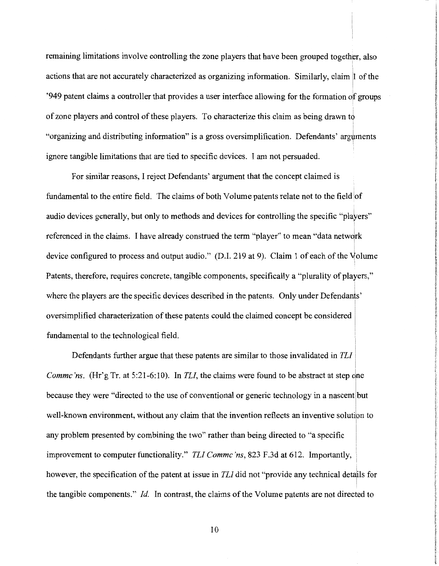remaining limitations involve controlling the zone players that have been grouped together, also actions that are not accurately characterized as organizing information. Similarly, claim 1 of the '949 patent claims a controller that provides a user interface allowing for the formation of groups of zone players and control of these players. To characterize this claim as being drawn to "organizing and distributing information" is a gross oversimplification. Defendants' arguments ignore tangible limitations that are tied to specific devices. I am not persuaded.

For similar reasons, I reject Defendants' argument that the concept claimed is fundamental to the entire field. The claims of both Volume patents relate not to the field of audio devices generally, but only to methods and devices for controlling the specific "players" referenced in the claims. I have already construed the term "player" to mean "data network device configured to process and output audio." (D.I. 219 at 9). Claim 1 of each of the Volume Patents, therefore, requires concrete, tangible components, specifically a "plurality of players," where the players are the specific devices described in the patents. Only under Defendants' oversimplified characterization of these patents could the claimed concept be considered fundamental to the technological field.

Defendants further argue that these patents are similar to those invalidated in *TL! Commc'ns.* (Hr'g Tr. at 5:21-6:10). In *TLI*, the claims were found to be abstract at step one because they were "directed to the use of conventional or generic technology in a nascentlbut I well-known environment, without any claim that the invention reflects an inventive solution to I any problem presented by combining the two" rather than being directed to "a specific improvement to computer functionality." *TL! Commc 'ns,* 823 F.3d at 612. Importantly, however, the specification of the patent at issue in *TLI* did not "provide any technical details for I the tangible components." *Id.* In contrast, the claims of the Volume patents are not directed to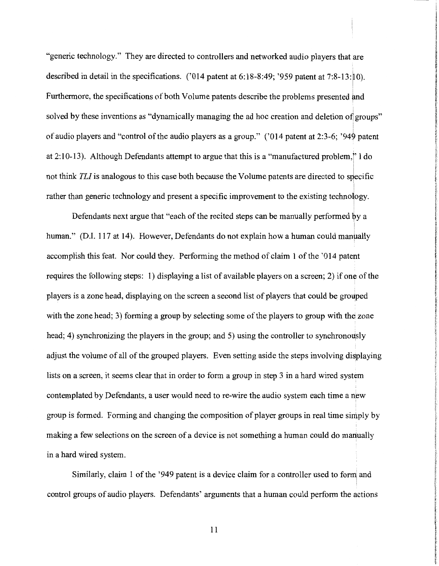"generic technology." They are directed to controllers and networked audio players that are described in detail in the specifications. ('014 patent at 6:18-8:49; '959 patent at 7:8-13:10). Furthermore, the specifications of both Volume patents describe the problems presented and solved by these inventions as "dynamically managing the ad hoc creation and deletion of groups" of audio players and "control of the audio players as a group." ('014 patent at 2:3-6; '949 patent at  $2:10-13$ ). Although Defendants attempt to argue that this is a "manufactured problem," I do I I not think TLI is analogous to this case both because the Volume patents are directed to specific rather than generic technology and present a specific improvement to the existing technology.

Defendants next argue that "each of the recited steps can be manually performed by a I human." (D.I. 117 at 14). However, Defendants do not explain how a human could manually accomplish this feat. Nor could they. Performing the method of claim 1 of the '014 patent requires the following steps: 1) displaying a list of available players on a screen; 2) if one of the players is a zone head, displaying on the screen a second list of players that could be grouped with the zone head; 3) forming a group by selecting some of the players to group with the zone head; 4) synchronizing the players in the group; and 5) using the controller to synchronously adjust the volume of all of the grouped players. Even setting aside the steps involving displaying lists on a screen, it seems clear that in order to form a group in step 3 in a hard wired system contemplated by Defendants, a user would need to re-wire the audio system each time a new group is formed. Forming and changing the composition of player groups in real time simply by making a few selections on the screen of a device is not something a human could do manually in a hard wired system.

Similarly, claim 1 of the '949 patent is a device claim for a controller used to form and control groups of audio players. Defendants' arguments that a human could perform the actions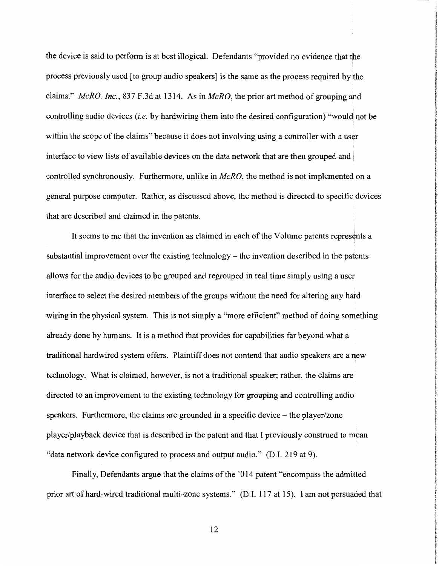the device is said to perform is at best illogical. Defendants "provided no evidence that the process previously used [to group audio speakers] is the same as the process required by the claims." *McRO, Inc.,* 837 F.3d at 1314. As in *McRO,* the prior art method of grouping and controlling audio devices *(i.e.* by hardwiring them into the desired configuration) "would not be within the scope of the claims" because it does not involving using a controller with a user interface to view lists of available devices on the data network that are then grouped and controlled synchronously. Furthermore, unlike in *McRO,* the method is not implemented on a general purpose computer. Rather, as discussed above, the method is directed to specific devices that are described and claimed in the patents.

It seems to me that the invention as claimed in each of the Volume patents repres¢nts a substantial improvement over the existing technology – the invention described in the patents allows for the audio devices to be grouped and regrouped in real time simply using a user interface to select the desired members of the groups without the need for altering any hard wiring in the physical system. This is not simply a "more efficient" method of doing something already done by humans. It is a method that provides for capabilities far beyond what a traditional hardwired system offers. Plaintiff does not contend that audio speakers are a new technology. What is claimed, however, is not a traditional speaker; rather, the claims are directed to an improvement to the existing technology for grouping and controlling audio speakers. Furthermore, the claims are grounded in a specific device – the player/zone player/playback device that is described in the patent and that I previously construed to mean "data network device configured to process and output audio." (D.I. 219 at 9).

Finally, Defendants argue that the claims of the '014 patent "encompass the admitted prior art of hard-wired traditional multi-zone systems." (D.I. 117 at 15). I am not persuaded that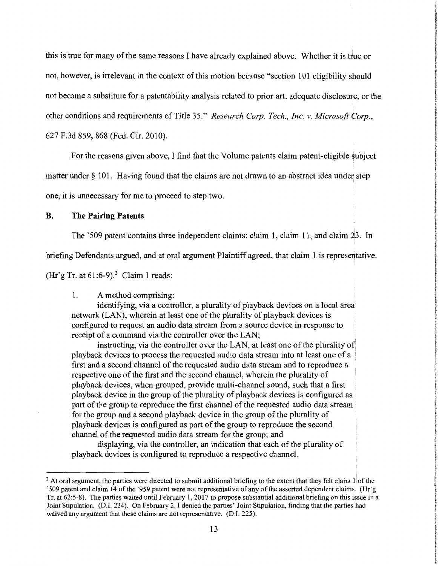this is true for many of the same reasons I have already explained above. Whether it is true or not, however, is irrelevant in the context of this motion because "section 101 eligibility should not become a substitute for a patentability analysis related to prior art, adequate disclosure, or the other conditions and requirements of Title 35." *Research Corp. Tech., Inc. v. Microsoft Corp.,*  627 F.3d 859, 868 (Fed. Cir. 2010).

For the reasons given above, I find that the Volume patents claim patent-eligible subject

matter under § 101. Having found that the claims are not drawn to an abstract idea under step

one, it is unnecessary for me to proceed to step two.

#### **B. The Pairing Patents**

The '509 patent contains three independent claims: claim 1, claim 11, and claim 23. In

briefing Defendants argued, and at oral argument Plaintiff agreed, that claim 1 is representative.

(Hr'g Tr. at  $61:6-9$ ).<sup>2</sup> Claim 1 reads:

### 1. A method comprising:

identifying, via a controller, a plurality of playback devices on a local area network (LAN), wherein at least one of the plurality of playback devices is configured to request an audio data stream from a source device in response to receipt of a command via the controller over the LAN;

instructing, via the controller over the LAN, at least one of the plurality of playback devices to process the requested audio data stream into at least one of a first and a second channel of the requested audio data stream and to reproduce a respective one of the first and the second channel, wherein the plurality of playback devices, when grouped, provide multi-channel sound, such that a first playback device in the group of the plurality of playback devices is configured as part of the group to reproduce the first channel of the requested audio data stream for the group and a second playback device in the group of the plurality of playback devices is configured as part of the group to reproduce the second channel of the requested audio data stream for the group; and

displaying, via the controller, an indication that each of the plurality of playback devices is configured to reproduce a respective channel.

 $2$  At oral argument, the parties were directed to submit additional briefing to the extent that they felt claim 1. of the '509 patent and claim 14 of the '959 patent were not representative of any of the asserted dependent claims. (Hr'g Tr. at 62:5-8). The parties waited until February 1, 2017 to propose substantial additional briefing on this issue in a Joint Stipulation. (D.I. 224). On February 2, I denied the parties' Joint Stipulation, finding that the parties had waived any argument that these claims are not representative. (D.I. 225).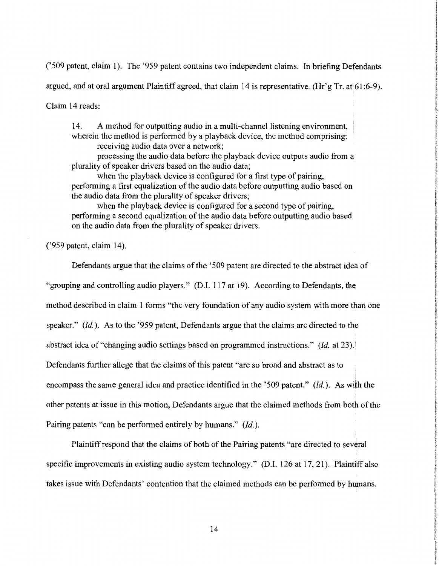('509 patent, claim 1). The '959 patent contains two independent claims. In briefing Defendants

argued, and at oral argument Plaintiff agreed, that claim 14 is representative. (Hr'g Tr. at 61:6-9).

Claim 14 reads:

14. A method for outputting audio in a multi-channel listening environment, wherein the method is performed by a playback device, the method comprising: receiving audio data over a network;

processing the audio data before the playback device outputs audio from a plurality of speaker drivers based on the audio data;

when the playback device is configured for a first type of pairing, performing a first equalization of the audio data before outputting audio based on the audio data from the plurality of speaker drivers;

when the playback device is configured for a second type of pairing, performing a second equalization of the audio data before outputting audio based on the audio data from the plurality of speaker drivers.

('959 patent, claim 14).

Defendants argue that the claims of the '509 patent are directed to the abstract idea of "grouping and controlling audio players." (D.I. 117 at 19). According to Defendants, the method described in claim 1 forms "the very foundation of any audio system with more than one speaker." *(Id.).* As to the '959 patent, Defendants argue that the claims are directed to the abstract idea of "changing audio settings based on programmed instructions." *(Id.* at 23). Defendants further allege that the claims of this patent "are so broad and abstract as to encompass the same general idea and practice identified in the '509 patent." *(Id.).* As with the other patents at issue in this motion, Defendants argue that the claimed methods from both of the Pairing patents "can be performed entirely by humans." *(Id.).* 

Plaintiff respond that the claims of both of the Pairing patents "are directed to sev¢ral specific improvements in existing audio system technology." (D.I. 126 at 17, 21). Plaintiff also takes issue with Defendants' contention that the claimed methods can be performed by humans.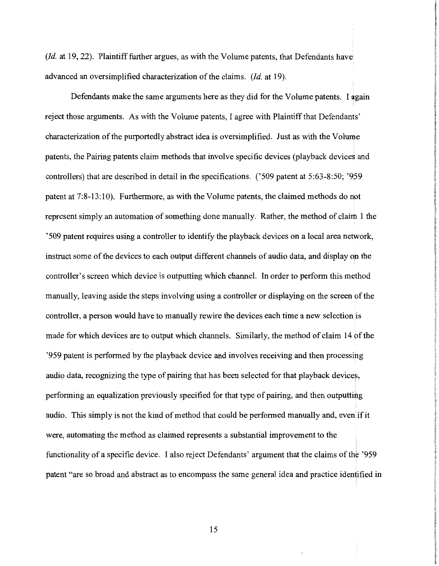*(Id.* at 19, 22). Plaintiff further argues, as with the Volume patents, that Defendants have advanced an oversimplified characterization of the claims. *(Id.* at 19).

Defendants make the same arguments here as they did for the Volume patents. I again reject those arguments. As with the Volume patents, I agree with Plaintiff that Defendants' characterization of the purportedly abstract idea is oversimplified. Just as with the Volume patents, the Pairing patents claim methods that involve specific devices (playback devices and controllers) that are described in detail in the specifications. ('509 patent at 5:63-8:50; '959 patent at 7:8-13:10). Furthermore, as with the Volume patents, the claimed methods do not represent simply an automation of something done manually. Rather, the method of claim 1 the '509 patent requires using a controller to identify the playback devices on a local area network, instruct some of the devices to each output different channels of audio data, and display on the controller's screen which device is outputting which channel. In order to perform this method manually, leaving aside the steps involving using a controller or displaying on the screen of the controller, a person would have to manually rewire the devices each time a new selection is made for which devices are to output which channels. Similarly, the method of claim 14 of the '959 patent is performed by the playback device and involves receiving and then processing audio data, recognizing the type of pairing that has been selected for that playback devices, performing an equalization previously specified for that type of pairing, and then outputting audio. This simply is not the kind of method that could be performed manually and, even if it were, automating the method as claimed represents a substantial improvement to the functionality of a specific device. I also reject Defendants' argument that the claims of the '959 patent "are so broad and abstract as to encompass the same general idea and practice identified in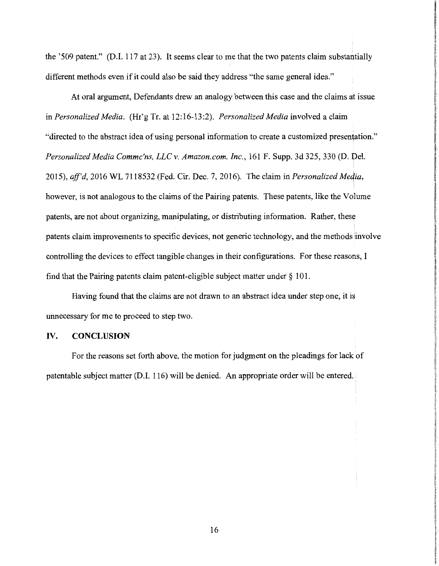the '509 patent." (D.I. 117 at 23). It seems clear to me that the two patents claim substantially different methods even if it could also be said they address "the same general idea."

At oral argument, Defendants drew an analogy between this case and the claims at issue in *Personalized Media.* (Hr'g Tr. at 12:16-13:2). *Personalized Media* involved a claim "directed to the abstract idea of using personal information to create a customized presentation." *Personalized Media Commc'ns, LLC v. Amazon.com, Inc., 161 F. Supp. 3d 325, 330 (D. Del.* 2015), *aff'd,* 2016 WL 7118532 (Fed. Cir. Dec. 7, 2016). The claim in *Personalized Meqia,*  however, is not analogous to the claims of the Pairing patents. These patents, like the Volume patents, are not about organizing, manipulating, or distributing information. Rather, these patents claim improvements to specific devices, not generic technology, and the methods involve controlling the devices to effect tangible changes in their configurations. For these reasons, I find that the Pairing patents claim patent-eligible subject matter under§ 101.

Having found that the claims are not drawn to an abstract idea under step one, it is unnecessary for me to proceed to step two.

#### IV. **CONCLUSION**

For the reasons set forth above, the motion for judgment on the pleadings for lack of patentable subject matter (D.I. 116) will be denied. An appropriate order will be entered.